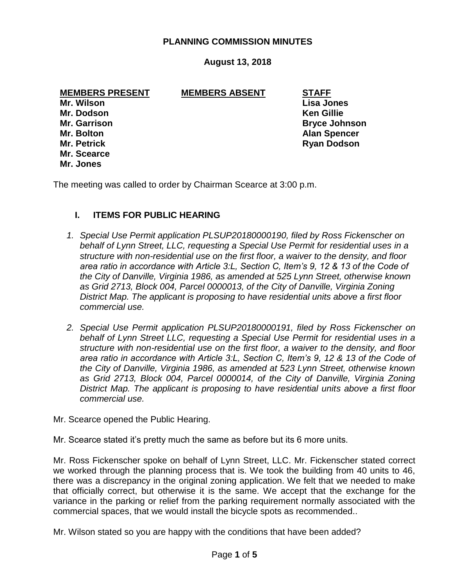## **PLANNING COMMISSION MINUTES**

# **August 13, 2018**

### **MEMBERS PRESENT MEMBERS ABSENT STAFF**

**Mr. Wilson Lisa Jones Mr. Dodson Ken Gillie Mr. Scearce Mr. Jones**

**Mr. Garrison Bryce Johnson Mr. Bolton Alan Spencer Mr. Petrick Ryan Dodson**

The meeting was called to order by Chairman Scearce at 3:00 p.m.

## **I. ITEMS FOR PUBLIC HEARING**

- *1. Special Use Permit application PLSUP20180000190, filed by Ross Fickenscher on behalf of Lynn Street, LLC, requesting a Special Use Permit for residential uses in a structure with non-residential use on the first floor, a waiver to the density, and floor area ratio in accordance with Article 3:L, Section C, Item's 9, 12 & 13 of the Code of the City of Danville, Virginia 1986, as amended at 525 Lynn Street, otherwise known as Grid 2713, Block 004, Parcel 0000013, of the City of Danville, Virginia Zoning District Map. The applicant is proposing to have residential units above a first floor commercial use.*
- *2. Special Use Permit application PLSUP20180000191, filed by Ross Fickenscher on behalf of Lynn Street LLC, requesting a Special Use Permit for residential uses in a structure with non-residential use on the first floor, a waiver to the density, and floor area ratio in accordance with Article 3:L, Section C, Item's 9, 12 & 13 of the Code of the City of Danville, Virginia 1986, as amended at 523 Lynn Street, otherwise known as Grid 2713, Block 004, Parcel 0000014, of the City of Danville, Virginia Zoning District Map. The applicant is proposing to have residential units above a first floor commercial use.*
- Mr. Scearce opened the Public Hearing.
- Mr. Scearce stated it's pretty much the same as before but its 6 more units.

Mr. Ross Fickenscher spoke on behalf of Lynn Street, LLC. Mr. Fickenscher stated correct we worked through the planning process that is. We took the building from 40 units to 46, there was a discrepancy in the original zoning application. We felt that we needed to make that officially correct, but otherwise it is the same. We accept that the exchange for the variance in the parking or relief from the parking requirement normally associated with the commercial spaces, that we would install the bicycle spots as recommended..

Mr. Wilson stated so you are happy with the conditions that have been added?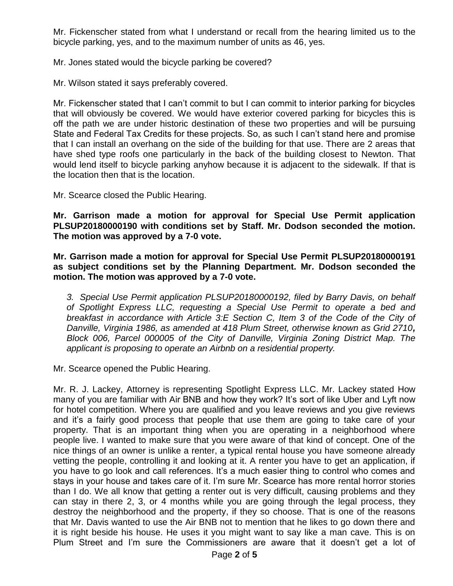Mr. Fickenscher stated from what I understand or recall from the hearing limited us to the bicycle parking, yes, and to the maximum number of units as 46, yes.

Mr. Jones stated would the bicycle parking be covered?

Mr. Wilson stated it says preferably covered.

Mr. Fickenscher stated that I can't commit to but I can commit to interior parking for bicycles that will obviously be covered. We would have exterior covered parking for bicycles this is off the path we are under historic destination of these two properties and will be pursuing State and Federal Tax Credits for these projects. So, as such I can't stand here and promise that I can install an overhang on the side of the building for that use. There are 2 areas that have shed type roofs one particularly in the back of the building closest to Newton. That would lend itself to bicycle parking anyhow because it is adjacent to the sidewalk. If that is the location then that is the location.

Mr. Scearce closed the Public Hearing.

**Mr. Garrison made a motion for approval for Special Use Permit application PLSUP20180000190 with conditions set by Staff. Mr. Dodson seconded the motion. The motion was approved by a 7-0 vote.**

**Mr. Garrison made a motion for approval for Special Use Permit PLSUP20180000191 as subject conditions set by the Planning Department. Mr. Dodson seconded the motion. The motion was approved by a 7-0 vote.**

*3. Special Use Permit application PLSUP20180000192, filed by Barry Davis, on behalf of Spotlight Express LLC, requesting a Special Use Permit to operate a bed and breakfast in accordance with Article 3:E Section C, Item 3 of the Code of the City of Danville, Virginia 1986, as amended at 418 Plum Street, otherwise known as Grid 2710, Block 006, Parcel 000005 of the City of Danville, Virginia Zoning District Map. The applicant is proposing to operate an Airbnb on a residential property.*

Mr. Scearce opened the Public Hearing.

Mr. R. J. Lackey, Attorney is representing Spotlight Express LLC. Mr. Lackey stated How many of you are familiar with Air BNB and how they work? It's sort of like Uber and Lyft now for hotel competition. Where you are qualified and you leave reviews and you give reviews and it's a fairly good process that people that use them are going to take care of your property. That is an important thing when you are operating in a neighborhood where people live. I wanted to make sure that you were aware of that kind of concept. One of the nice things of an owner is unlike a renter, a typical rental house you have someone already vetting the people, controlling it and looking at it. A renter you have to get an application, if you have to go look and call references. It's a much easier thing to control who comes and stays in your house and takes care of it. I'm sure Mr. Scearce has more rental horror stories than I do. We all know that getting a renter out is very difficult, causing problems and they can stay in there 2, 3, or 4 months while you are going through the legal process, they destroy the neighborhood and the property, if they so choose. That is one of the reasons that Mr. Davis wanted to use the Air BNB not to mention that he likes to go down there and it is right beside his house. He uses it you might want to say like a man cave. This is on Plum Street and I'm sure the Commissioners are aware that it doesn't get a lot of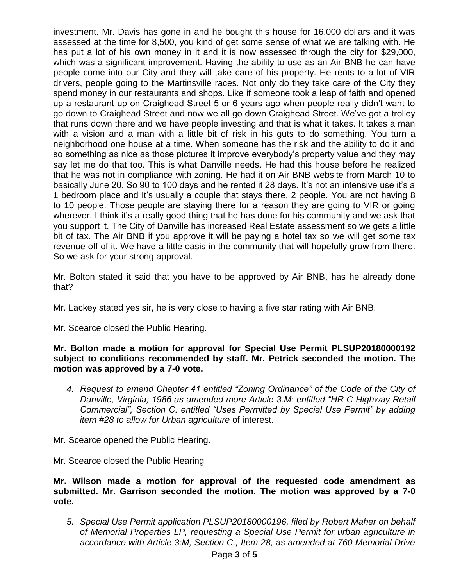investment. Mr. Davis has gone in and he bought this house for 16,000 dollars and it was assessed at the time for 8,500, you kind of get some sense of what we are talking with. He has put a lot of his own money in it and it is now assessed through the city for \$29,000, which was a significant improvement. Having the ability to use as an Air BNB he can have people come into our City and they will take care of his property. He rents to a lot of VIR drivers, people going to the Martinsville races. Not only do they take care of the City they spend money in our restaurants and shops. Like if someone took a leap of faith and opened up a restaurant up on Craighead Street 5 or 6 years ago when people really didn't want to go down to Craighead Street and now we all go down Craighead Street. We've got a trolley that runs down there and we have people investing and that is what it takes. It takes a man with a vision and a man with a little bit of risk in his guts to do something. You turn a neighborhood one house at a time. When someone has the risk and the ability to do it and so something as nice as those pictures it improve everybody's property value and they may say let me do that too. This is what Danville needs. He had this house before he realized that he was not in compliance with zoning. He had it on Air BNB website from March 10 to basically June 20. So 90 to 100 days and he rented it 28 days. It's not an intensive use it's a 1 bedroom place and It's usually a couple that stays there, 2 people. You are not having 8 to 10 people. Those people are staying there for a reason they are going to VIR or going wherever. I think it's a really good thing that he has done for his community and we ask that you support it. The City of Danville has increased Real Estate assessment so we gets a little bit of tax. The Air BNB if you approve it will be paying a hotel tax so we will get some tax revenue off of it. We have a little oasis in the community that will hopefully grow from there. So we ask for your strong approval.

Mr. Bolton stated it said that you have to be approved by Air BNB, has he already done that?

Mr. Lackey stated yes sir, he is very close to having a five star rating with Air BNB.

Mr. Scearce closed the Public Hearing.

**Mr. Bolton made a motion for approval for Special Use Permit PLSUP20180000192 subject to conditions recommended by staff. Mr. Petrick seconded the motion. The motion was approved by a 7-0 vote.**

*4. Request to amend Chapter 41 entitled "Zoning Ordinance" of the Code of the City of Danville, Virginia, 1986 as amended more Article 3.M: entitled "HR-C Highway Retail Commercial", Section C. entitled "Uses Permitted by Special Use Permit" by adding item #28 to allow for Urban agriculture* of interest.

Mr. Scearce opened the Public Hearing.

Mr. Scearce closed the Public Hearing

**Mr. Wilson made a motion for approval of the requested code amendment as submitted. Mr. Garrison seconded the motion. The motion was approved by a 7-0 vote.**

*5. Special Use Permit application PLSUP20180000196, filed by Robert Maher on behalf of Memorial Properties LP, requesting a Special Use Permit for urban agriculture in accordance with Article 3:M, Section C., Item 28, as amended at 760 Memorial Drive*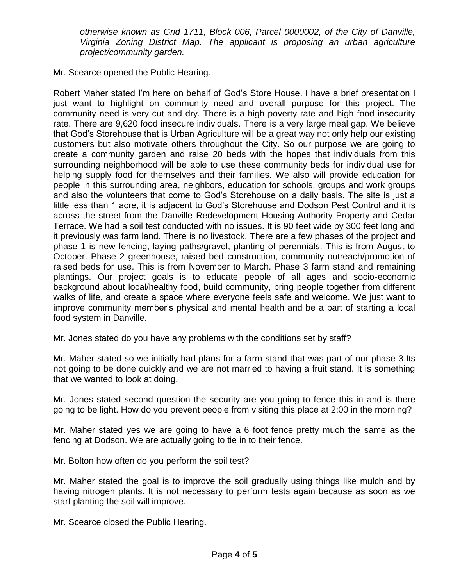*otherwise known as Grid 1711, Block 006, Parcel 0000002, of the City of Danville, Virginia Zoning District Map. The applicant is proposing an urban agriculture project/community garden.*

Mr. Scearce opened the Public Hearing.

Robert Maher stated I'm here on behalf of God's Store House. I have a brief presentation I just want to highlight on community need and overall purpose for this project. The community need is very cut and dry. There is a high poverty rate and high food insecurity rate. There are 9,620 food insecure individuals. There is a very large meal gap. We believe that God's Storehouse that is Urban Agriculture will be a great way not only help our existing customers but also motivate others throughout the City. So our purpose we are going to create a community garden and raise 20 beds with the hopes that individuals from this surrounding neighborhood will be able to use these community beds for individual use for helping supply food for themselves and their families. We also will provide education for people in this surrounding area, neighbors, education for schools, groups and work groups and also the volunteers that come to God's Storehouse on a daily basis. The site is just a little less than 1 acre, it is adjacent to God's Storehouse and Dodson Pest Control and it is across the street from the Danville Redevelopment Housing Authority Property and Cedar Terrace. We had a soil test conducted with no issues. It is 90 feet wide by 300 feet long and it previously was farm land. There is no livestock. There are a few phases of the project and phase 1 is new fencing, laying paths/gravel, planting of perennials. This is from August to October. Phase 2 greenhouse, raised bed construction, community outreach/promotion of raised beds for use. This is from November to March. Phase 3 farm stand and remaining plantings. Our project goals is to educate people of all ages and socio-economic background about local/healthy food, build community, bring people together from different walks of life, and create a space where everyone feels safe and welcome. We just want to improve community member's physical and mental health and be a part of starting a local food system in Danville.

Mr. Jones stated do you have any problems with the conditions set by staff?

Mr. Maher stated so we initially had plans for a farm stand that was part of our phase 3.Its not going to be done quickly and we are not married to having a fruit stand. It is something that we wanted to look at doing.

Mr. Jones stated second question the security are you going to fence this in and is there going to be light. How do you prevent people from visiting this place at 2:00 in the morning?

Mr. Maher stated yes we are going to have a 6 foot fence pretty much the same as the fencing at Dodson. We are actually going to tie in to their fence.

Mr. Bolton how often do you perform the soil test?

Mr. Maher stated the goal is to improve the soil gradually using things like mulch and by having nitrogen plants. It is not necessary to perform tests again because as soon as we start planting the soil will improve.

Mr. Scearce closed the Public Hearing.